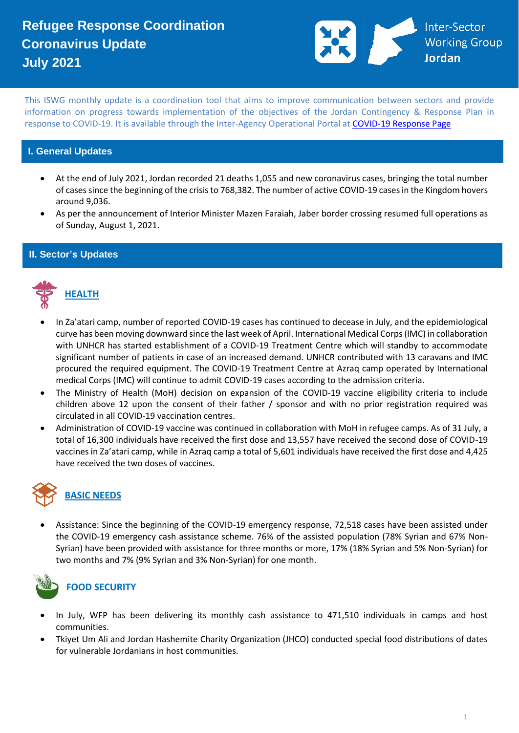

This ISWG monthly update is a coordination tool that aims to improve communication between sectors and provide information on progress towards implementation of the objectives of the Jordan Contingency & Response Plan in response to COVID-19. It is available through the Inter-Agency Operational Portal a[t COVID-19 Response Page](https://eur02.safelinks.protection.outlook.com/?url=https%3A%2F%2Fdata2.unhcr.org%2Fen%2Fworking-group%2F251%3Fsv%3D4%26geo%3D36&data=02%7C01%7Cbyunc%40unhcr.org%7C0621d0ad56f141cfe71708d7d3d2dc45%7Ce5c37981666441348a0c6543d2af80be%7C0%7C0%7C637210774895002030&sdata=aPEtg5vDIBj3A4AWkO5sOLo7pACA7Q8cjR8bwQyAa8c%3D&reserved=0)

### **I. General Updates**

- At the end of July 2021, Jordan recorded 21 deaths 1,055 and new coronavirus cases, bringing the total number of cases since the beginning of the crisis to 768,382. The number of active COVID-19 cases in the Kingdom hovers around 9,036.
- As per the announcement of Interior Minister Mazen Faraiah, Jaber border crossing resumed full operations as of Sunday, August 1, 2021.

#### **II. Sector's Updates**



- In Za'atari camp, number of reported COVID-19 cases has continued to decease in July, and the epidemiological curve has been moving downward since the last week of April. International Medical Corps (IMC) in collaboration with UNHCR has started establishment of a COVID-19 Treatment Centre which will standby to accommodate significant number of patients in case of an increased demand. UNHCR contributed with 13 caravans and IMC procured the required equipment. The COVID-19 Treatment Centre at Azraq camp operated by International medical Corps (IMC) will continue to admit COVID-19 cases according to the admission criteria.
- The Ministry of Health (MoH) decision on expansion of the COVID-19 vaccine eligibility criteria to include children above 12 upon the consent of their father / sponsor and with no prior registration required was circulated in all COVID-19 vaccination centres.
- Administration of COVID-19 vaccine was continued in collaboration with MoH in refugee camps. As of 31 July, a total of 16,300 individuals have received the first dose and 13,557 have received the second dose of COVID-19 vaccines in Za'atari camp, while in Azraq camp a total of 5,601 individuals have received the first dose and 4,425 have received the two doses of vaccines.



• Assistance: Since the beginning of the COVID-19 emergency response, 72,518 cases have been assisted under the COVID-19 emergency cash assistance scheme. 76% of the assisted population (78% Syrian and 67% Non-Syrian) have been provided with assistance for three months or more, 17% (18% Syrian and 5% Non-Syrian) for two months and 7% (9% Syrian and 3% Non-Syrian) for one month.



## **FOOD SECURITY**

- In July, WFP has been delivering its monthly cash assistance to 471,510 individuals in camps and host communities.
- Tkiyet Um Ali and Jordan Hashemite Charity Organization (JHCO) conducted special food distributions of dates for vulnerable Jordanians in host communities.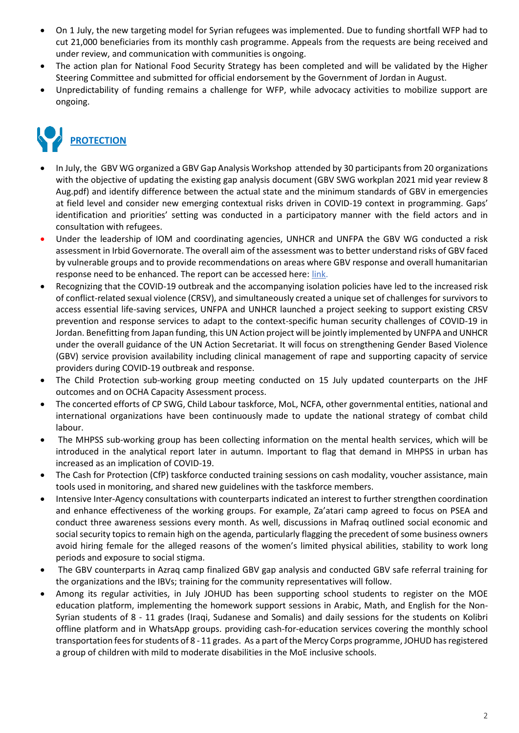- On 1 July, the new targeting model for Syrian refugees was implemented. Due to funding shortfall WFP had to cut 21,000 beneficiaries from its monthly cash programme. Appeals from the requests are being received and under review, and communication with communities is ongoing.
- The action plan for National Food Security Strategy has been completed and will be validated by the Higher Steering Committee and submitted for official endorsement by the Government of Jordan in August.
- Unpredictability of funding remains a challenge for WFP, while advocacy activities to mobilize support are ongoing.

# **PROTECTION**

- In July, the GBV WG organized [a GBV Gap Analysis Workshop](https://eur02.safelinks.protection.outlook.com/?url=https%3A%2F%2Fwww.facebook.com%2FUNFPA.Jordan%2Fposts%2F4292651730817619&data=04%7C01%7CMAHAFZA%40unhcr.org%7C6af7ab3ec2ab455a682c08d966f2175e%7Ce5c37981666441348a0c6543d2af80be%7C0%7C0%7C637654012250989648%7CUnknown%7CTWFpbGZsb3d8eyJWIjoiMC4wLjAwMDAiLCJQIjoiV2luMzIiLCJBTiI6Ik1haWwiLCJXVCI6Mn0%3D%7C1000&sdata=gpjL3pnih41GNu8UBebOqnt0lTUB4CN5KrIxwu6W9qM%3D&reserved=0) attended by 30 participants from 20 organizations with the objective of updating the existing gap analysis document [\(GBV SWG workplan 2021 mid year review 8](file:///C:/Users/MAHAFZA/Downloads/GBV%20SWG%20workplan%202021%20mid%20year%20review%208%20Aug.pdf)  [Aug.pdf\)](file:///C:/Users/MAHAFZA/Downloads/GBV%20SWG%20workplan%202021%20mid%20year%20review%208%20Aug.pdf) and identify difference between the actual state and the minimum standards of GBV in emergencies at field level and consider new emerging contextual risks driven in COVID-19 context in programming. Gaps' identification and priorities' setting was conducted in a participatory manner with the field actors and in consultation with refugees.
- Under the leadership of IOM and coordinating agencies, UNHCR and UNFPA the GBV WG conducted a risk assessment in Irbid Governorate. The overall aim of the assessment was to better understand risks of GBV faced by vulnerable groups and to provide recommendations on areas where GBV response and overall humanitarian response need to be enhanced. The report can be accessed here: [link.](https://eur02.safelinks.protection.outlook.com/?url=https%3A%2F%2Fdata2.unhcr.org%2Fen%2Fdocuments%2Fdetails%2F88228&data=04%7C01%7CMAHAFZA%40unhcr.org%7C6af7ab3ec2ab455a682c08d966f2175e%7Ce5c37981666441348a0c6543d2af80be%7C0%7C0%7C637654012250999635%7CUnknown%7CTWFpbGZsb3d8eyJWIjoiMC4wLjAwMDAiLCJQIjoiV2luMzIiLCJBTiI6Ik1haWwiLCJXVCI6Mn0%3D%7C1000&sdata=jctdtym1gqFrVnSgedR%2Fh74AZ2H4zVowEaw4BiP4XXk%3D&reserved=0)
- Recognizing that the COVID-19 outbreak and the accompanying isolation policies have led to the increased risk of conflict-related sexual violence (CRSV), and simultaneously created a unique set of challenges for survivors to access essential life-saving services, UNFPA and UNHCR launched a project seeking to support existing CRSV prevention and response services to adapt to the context-specific human security challenges of COVID-19 in Jordan. Benefitting from Japan funding, this UN Action project will be jointly implemented by UNFPA and UNHCR under the overall guidance of the UN Action Secretariat. It will focus on strengthening Gender Based Violence (GBV) service provision availability including clinical management of rape and supporting capacity of service providers during COVID-19 outbreak and response.
- The Child Protection sub-working group meeting conducted on 15 July updated counterparts on the JHF outcomes and on OCHA Capacity Assessment process.
- The concerted efforts of CP SWG, Child Labour taskforce, MoL, NCFA, other governmental entities, national and international organizations have been continuously made to update the national strategy of combat child labour.
- The MHPSS sub-working group has been collecting information on the mental health services, which will be introduced in the analytical report later in autumn. Important to flag that demand in MHPSS in urban has increased as an implication of COVID-19.
- The Cash for Protection (CfP) taskforce conducted training sessions on cash modality, voucher assistance, main tools used in monitoring, and shared new guidelines with the taskforce members.
- Intensive Inter-Agency consultations with counterparts indicated an interest to further strengthen coordination and enhance effectiveness of the working groups. For example, Za'atari camp agreed to focus on PSEA and conduct three awareness sessions every month. As well, discussions in Mafraq outlined social economic and social security topics to remain high on the agenda, particularly flagging the precedent of some business owners avoid hiring female for the alleged reasons of the women's limited physical abilities, stability to work long periods and exposure to social stigma.
- The GBV counterparts in Azraq camp finalized GBV gap analysis and conducted GBV safe referral training for the organizations and the IBVs; training for the community representatives will follow.
- Among its regular activities, in July JOHUD has been supporting school students to register on the MOE education platform, implementing the homework support sessions in Arabic, Math, and English for the Non-Syrian students of 8 - 11 grades (Iraqi, Sudanese and Somalis) and daily sessions for the students on Kolibri offline platform and in WhatsApp groups. providing cash-for-education services covering the monthly school transportation fees for students of 8 - 11 grades. As a part of the Mercy Corps programme, JOHUD has registered a group of children with mild to moderate disabilities in the MoE inclusive schools.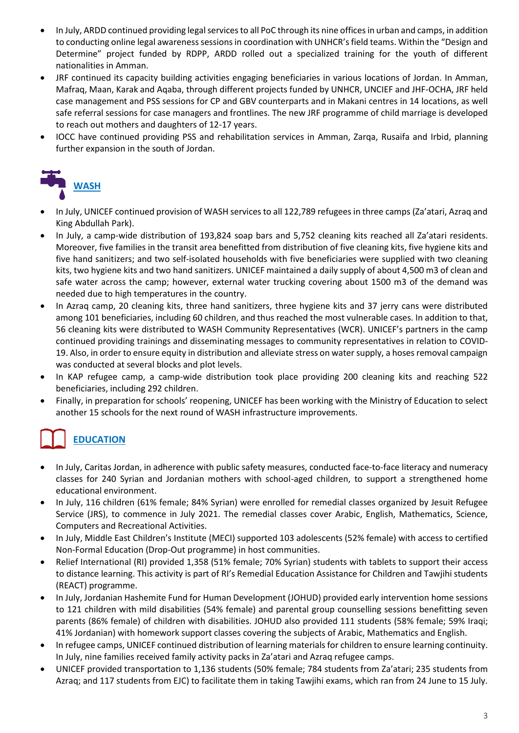- In July, ARDD continued providing legal services to all PoC through its nine offices in urban and camps, in addition to conducting online legal awareness sessions in coordination with UNHCR's field teams. Within the "Design and Determine" project funded by RDPP, ARDD rolled out a specialized training for the youth of different nationalities in Amman.
- JRF continued its capacity building activities engaging beneficiaries in various locations of Jordan. In Amman, Mafraq, Maan, Karak and Aqaba, through different projects funded by UNHCR, UNCIEF and JHF-OCHA, JRF held case management and PSS sessions for CP and GBV counterparts and in Makani centres in 14 locations, as well safe referral sessions for case managers and frontlines. The new JRF programme of child marriage is developed to reach out mothers and daughters of 12-17 years.
- IOCC have continued providing PSS and rehabilitation services in Amman, Zarqa, Rusaifa and Irbid, planning further expansion in the south of Jordan.



- In July, UNICEF continued provision of WASH services to all 122,789 refugees in three camps (Za'atari, Azraq and King Abdullah Park).
- In July, a camp-wide distribution of 193,824 soap bars and 5,752 cleaning kits reached all Za'atari residents. Moreover, five families in the transit area benefitted from distribution of five cleaning kits, five hygiene kits and five hand sanitizers; and two self-isolated households with five beneficiaries were supplied with two cleaning kits, two hygiene kits and two hand sanitizers. UNICEF maintained a daily supply of about 4,500 m3 of clean and safe water across the camp; however, external water trucking covering about 1500 m3 of the demand was needed due to high temperatures in the country.
- In Azraq camp, 20 cleaning kits, three hand sanitizers, three hygiene kits and 37 jerry cans were distributed among 101 beneficiaries, including 60 children, and thus reached the most vulnerable cases. In addition to that, 56 cleaning kits were distributed to WASH Community Representatives (WCR). UNICEF's partners in the camp continued providing trainings and disseminating messages to community representatives in relation to COVID-19. Also, in order to ensure equity in distribution and alleviate stress on water supply, a hoses removal campaign was conducted at several blocks and plot levels.
- In KAP refugee camp, a camp-wide distribution took place providing 200 cleaning kits and reaching 522 beneficiaries, including 292 children.
- Finally, in preparation for schools' reopening, UNICEF has been working with the Ministry of Education to select another 15 schools for the next round of WASH infrastructure improvements.

# **EDUCATION**

- In July, Caritas Jordan, in adherence with public safety measures, conducted face-to-face literacy and numeracy classes for 240 Syrian and Jordanian mothers with school-aged children, to support a strengthened home educational environment.
- In July, 116 children (61% female; 84% Syrian) were enrolled for remedial classes organized by Jesuit Refugee Service (JRS), to commence in July 2021. The remedial classes cover Arabic, English, Mathematics, Science, Computers and Recreational Activities.
- In July, Middle East Children's Institute (MECI) supported 103 adolescents (52% female) with access to certified Non-Formal Education (Drop-Out programme) in host communities.
- Relief International (RI) provided 1,358 (51% female; 70% Syrian) students with tablets to support their access to distance learning. This activity is part of RI's Remedial Education Assistance for Children and Tawjihi students (REACT) programme.
- In July, Jordanian Hashemite Fund for Human Development (JOHUD) provided early intervention home sessions to 121 children with mild disabilities (54% female) and parental group counselling sessions benefitting seven parents (86% female) of children with disabilities. JOHUD also provided 111 students (58% female; 59% Iraqi; 41% Jordanian) with homework support classes covering the subjects of Arabic, Mathematics and English.
- In refugee camps, UNICEF continued distribution of learning materials for children to ensure learning continuity. In July, nine families received family activity packs in Za'atari and Azraq refugee camps.
- UNICEF provided transportation to 1,136 students (50% female; 784 students from Za'atari; 235 students from Azraq; and 117 students from EJC) to facilitate them in taking Tawjihi exams, which ran from 24 June to 15 July.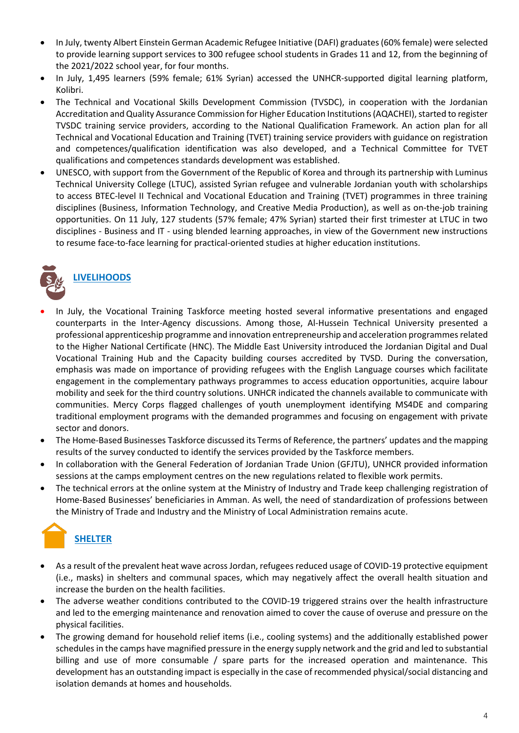- In July, twenty Albert Einstein German Academic Refugee Initiative (DAFI) graduates (60% female) were selected to provide learning support services to 300 refugee school students in Grades 11 and 12, from the beginning of the 2021/2022 school year, for four months.
- In July, 1,495 learners (59% female; 61% Syrian) accessed the UNHCR-supported digital learning platform, Kolibri.
- The Technical and Vocational Skills Development Commission (TVSDC), in cooperation with the Jordanian Accreditation and Quality Assurance Commission for Higher Education Institutions (AQACHEI), started to register TVSDC training service providers, according to the National Qualification Framework. An action plan for all Technical and Vocational Education and Training (TVET) training service providers with guidance on registration and competences/qualification identification was also developed, and a Technical Committee for TVET qualifications and competences standards development was established.
- UNESCO, with support from the Government of the Republic of Korea and through its partnership with Luminus Technical University College (LTUC), assisted Syrian refugee and vulnerable Jordanian youth with scholarships to access BTEC-level II Technical and Vocational Education and Training (TVET) programmes in three training disciplines (Business, Information Technology, and Creative Media Production), as well as on-the-job training opportunities. On 11 July, 127 students (57% female; 47% Syrian) started their first trimester at LTUC in two disciplines - Business and IT - using blended learning approaches, in view of the Government new instructions to resume face-to-face learning for practical-oriented studies at higher education institutions.



- In July, the Vocational Training Taskforce meeting hosted several informative presentations and engaged counterparts in the Inter-Agency discussions. Among those, Al-Hussein Technical University presented a professional apprenticeship programme and innovation entrepreneurship and acceleration programmes related to the Higher National Certificate (HNC). The Middle East University introduced the Jordanian Digital and Dual Vocational Training Hub and the Capacity building courses accredited by TVSD. During the conversation, emphasis was made on importance of providing refugees with the English Language courses which facilitate engagement in the complementary pathways programmes to access education opportunities, acquire labour mobility and seek for the third country solutions. UNHCR indicated the channels available to communicate with communities. Mercy Corps flagged challenges of youth unemployment identifying MS4DE and comparing traditional employment programs with the demanded programmes and focusing on engagement with private sector and donors.
- The Home-Based Businesses Taskforce discussed its Terms of Reference, the partners' updates and the mapping results of the survey conducted to identify the services provided by the Taskforce members.
- In collaboration with the General Federation of Jordanian Trade Union (GFJTU), UNHCR provided information sessions at the camps employment centres on the new regulations related to flexible work permits.
- The technical errors at the online system at the Ministry of Industry and Trade keep challenging registration of Home-Based Businesses' beneficiaries in Amman. As well, the need of standardization of professions between the Ministry of Trade and Industry and the Ministry of Local Administration remains acute.



- As a result of the prevalent heat wave across Jordan, refugees reduced usage of COVID-19 protective equipment (i.e., masks) in shelters and communal spaces, which may negatively affect the overall health situation and increase the burden on the health facilities.
- The adverse weather conditions contributed to the COVID-19 triggered strains over the health infrastructure and led to the emerging maintenance and renovation aimed to cover the cause of overuse and pressure on the physical facilities.
- The growing demand for household relief items (i.e., cooling systems) and the additionally established power schedules in the camps have magnified pressure in the energy supply network and the grid and led to substantial billing and use of more consumable / spare parts for the increased operation and maintenance. This development has an outstanding impact is especially in the case of recommended physical/social distancing and isolation demands at homes and households.